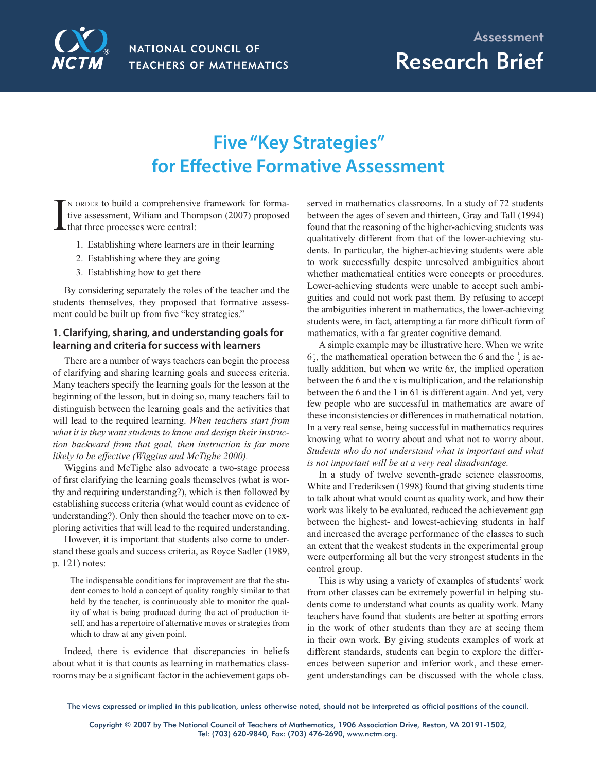

Research Brief

# **Five "Key Strategies" for Effective Formative Assessment**

I <sup>N</sup> ORDER to build a comprehensive framework for formative assessment, Wiliam and Thompson (2007) proposed that three processes were central:

- 1. Establishing where learners are in their learning
- 2. Establishing where they are going
- 3. Establishing how to get there

By considering separately the roles of the teacher and the students themselves, they proposed that formative assessment could be built up from five "key strategies."

### **1. Clarifying, sharing, and understanding goals for learning and criteria for success with learners**

There are a number of ways teachers can begin the process of clarifying and sharing learning goals and success criteria. Many teachers specify the learning goals for the lesson at the beginning of the lesson, but in doing so, many teachers fail to distinguish between the learning goals and the activities that will lead to the required learning. *When teachers start from what it is they want students to know and design their instruction backward from that goal, then instruction is far more likely to be effective (Wiggins and McTighe 2000).*

Wiggins and McTighe also advocate a two-stage process of first clarifying the learning goals themselves (what is worthy and requiring understanding?), which is then followed by establishing success criteria (what would count as evidence of understanding?). Only then should the teacher move on to exploring activities that will lead to the required understanding.

However, it is important that students also come to understand these goals and success criteria, as Royce Sadler (1989, p. 121) notes:

The indispensable conditions for improvement are that the student comes to hold a concept of quality roughly similar to that held by the teacher, is continuously able to monitor the quality of what is being produced during the act of production itself, and has a repertoire of alternative moves or strategies from which to draw at any given point.

Indeed, there is evidence that discrepancies in beliefs about what it is that counts as learning in mathematics classrooms may be a significant factor in the achievement gaps observed in mathematics classrooms. In a study of 72 students between the ages of seven and thirteen, Gray and Tall (1994) found that the reasoning of the higher-achieving students was qualitatively different from that of the lower-achieving students. In particular, the higher-achieving students were able to work successfully despite unresolved ambiguities about whether mathematical entities were concepts or procedures. Lower-achieving students were unable to accept such ambiguities and could not work past them. By refusing to accept the ambiguities inherent in mathematics, the lower-achieving students were, in fact, attempting a far more difficult form of mathematics, with a far greater cognitive demand.

A simple example may be illustrative here. When we write  $6\frac{1}{2}$ , the mathematical operation between the 6 and the  $\frac{1}{2}$  is actually addition, but when we write 6*x*, the implied operation between the 6 and the *x* is multiplication, and the relationship between the 6 and the 1 in 61 is different again. And yet, very few people who are successful in mathematics are aware of these inconsistencies or differences in mathematical notation. In a very real sense, being successful in mathematics requires knowing what to worry about and what not to worry about. *Students who do not understand what is important and what is not important will be at a very real disadvantage.* 

In a study of twelve seventh-grade science classrooms, White and Frederiksen (1998) found that giving students time to talk about what would count as quality work, and how their work was likely to be evaluated, reduced the achievement gap between the highest- and lowest-achieving students in half and increased the average performance of the classes to such an extent that the weakest students in the experimental group were outperforming all but the very strongest students in the control group.

This is why using a variety of examples of students' work from other classes can be extremely powerful in helping students come to understand what counts as quality work. Many teachers have found that students are better at spotting errors in the work of other students than they are at seeing them in their own work. By giving students examples of work at different standards, students can begin to explore the differences between superior and inferior work, and these emergent understandings can be discussed with the whole class.

The views expressed or implied in this publication, unless otherwise noted, should not be interpreted as official positions of the council.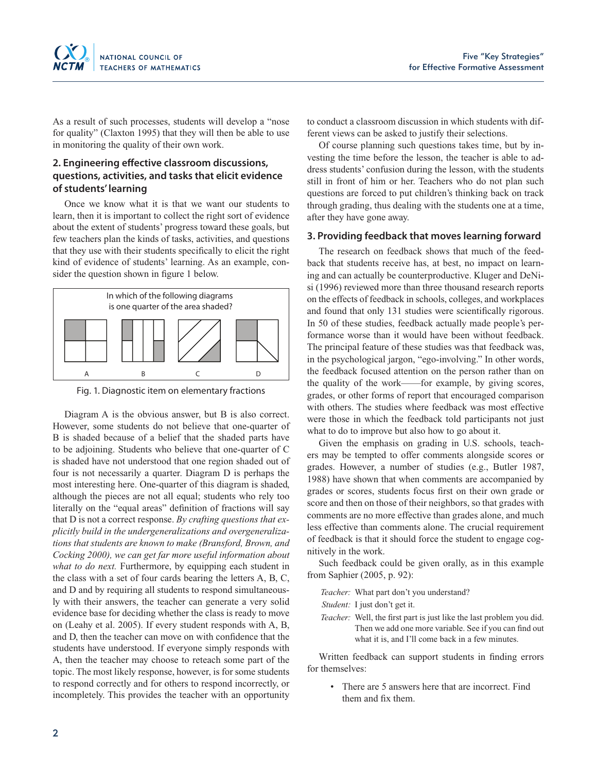

As a result of such processes, students will develop a "nose for quality" (Claxton 1995) that they will then be able to use in monitoring the quality of their own work.

### **2. Engineering effective classroom discussions, questions, activities, and tasks that elicit evidence of students' learning**

Once we know what it is that we want our students to learn, then it is important to collect the right sort of evidence about the extent of students' progress toward these goals, but few teachers plan the kinds of tasks, activities, and questions that they use with their students specifically to elicit the right kind of evidence of students' learning. As an example, consider the question shown in figure 1 below.



Fig. 1. Diagnostic item on elementary fractions

Diagram A is the obvious answer, but B is also correct. However, some students do not believe that one-quarter of B is shaded because of a belief that the shaded parts have to be adjoining. Students who believe that one-quarter of C is shaded have not understood that one region shaded out of four is not necessarily a quarter. Diagram D is perhaps the most interesting here. One-quarter of this diagram is shaded, although the pieces are not all equal; students who rely too literally on the "equal areas" definition of fractions will say that D is not a correct response. *By crafting questions that explicitly build in the undergeneralizations and overgeneralizations that students are known to make (Bransford, Brown, and Cocking 2000), we can get far more useful information about what to do next.* Furthermore, by equipping each student in the class with a set of four cards bearing the letters A, B, C, and D and by requiring all students to respond simultaneously with their answers, the teacher can generate a very solid evidence base for deciding whether the class is ready to move on (Leahy et al. 2005). If every student responds with A, B, and D, then the teacher can move on with confidence that the students have understood. If everyone simply responds with A, then the teacher may choose to reteach some part of the topic. The most likely response, however, is for some students to respond correctly and for others to respond incorrectly, or incompletely. This provides the teacher with an opportunity

to conduct a classroom discussion in which students with different views can be asked to justify their selections.

Of course planning such questions takes time, but by investing the time before the lesson, the teacher is able to address students' confusion during the lesson, with the students still in front of him or her. Teachers who do not plan such questions are forced to put children's thinking back on track through grading, thus dealing with the students one at a time, after they have gone away.

#### **3. Providing feedback that moves learning forward**

The research on feedback shows that much of the feedback that students receive has, at best, no impact on learning and can actually be counterproductive. Kluger and DeNisi (1996) reviewed more than three thousand research reports on the effects of feedback in schools, colleges, and workplaces and found that only 131 studies were scientifically rigorous. In 50 of these studies, feedback actually made people's performance worse than it would have been without feedback. The principal feature of these studies was that feedback was, in the psychological jargon, "ego-involving." In other words, the feedback focused attention on the person rather than on the quality of the work——for example, by giving scores, grades, or other forms of report that encouraged comparison with others. The studies where feedback was most effective were those in which the feedback told participants not just what to do to improve but also how to go about it.

Given the emphasis on grading in U.S. schools, teachers may be tempted to offer comments alongside scores or grades. However, a number of studies (e.g., Butler 1987, 1988) have shown that when comments are accompanied by grades or scores, students focus first on their own grade or score and then on those of their neighbors, so that grades with comments are no more effective than grades alone, and much less effective than comments alone. The crucial requirement of feedback is that it should force the student to engage cognitively in the work.

Such feedback could be given orally, as in this example from Saphier (2005, p. 92):

 *Teacher:* What part don't you understand?

*Student:* I just don't get it.

*Teacher:* Well, the first part is just like the last problem you did. Then we add one more variable. See if you can find out what it is, and I'll come back in a few minutes.

Written feedback can support students in finding errors for themselves:

> There are 5 answers here that are incorrect. Find them and fix them.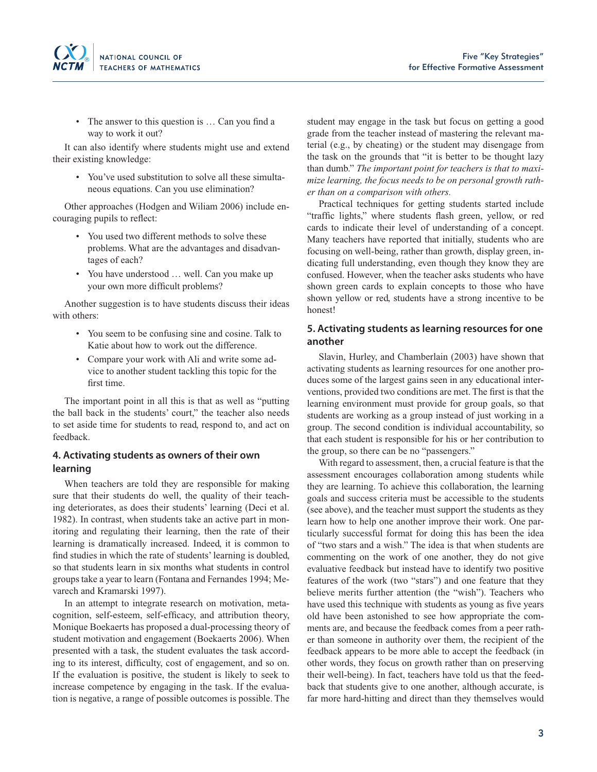• The answer to this question is ... Can you find a way to work it out?

It can also identify where students might use and extend their existing knowledge:

• You've used substitution to solve all these simultaneous equations. Can you use elimination?

Other approaches (Hodgen and Wiliam 2006) include encouraging pupils to reflect:

- You used two different methods to solve these problems. What are the advantages and disadvantages of each?
- You have understood … well. Can you make up your own more difficult problems?

Another suggestion is to have students discuss their ideas with others:

- You seem to be confusing sine and cosine. Talk to Katie about how to work out the difference.
- Compare your work with Ali and write some advice to another student tackling this topic for the first time.

The important point in all this is that as well as "putting the ball back in the students' court," the teacher also needs to set aside time for students to read, respond to, and act on feedback.

### **4. Activating students as owners of their own learning**

When teachers are told they are responsible for making sure that their students do well, the quality of their teaching deteriorates, as does their students' learning (Deci et al. 1982). In contrast, when students take an active part in monitoring and regulating their learning, then the rate of their learning is dramatically increased. Indeed, it is common to find studies in which the rate of students' learning is doubled, so that students learn in six months what students in control groups take a year to learn (Fontana and Fernandes 1994; Mevarech and Kramarski 1997).

In an attempt to integrate research on motivation, metacognition, self-esteem, self-efficacy, and attribution theory, Monique Boekaerts has proposed a dual-processing theory of student motivation and engagement (Boekaerts 2006). When presented with a task, the student evaluates the task according to its interest, difficulty, cost of engagement, and so on. If the evaluation is positive, the student is likely to seek to increase competence by engaging in the task. If the evaluation is negative, a range of possible outcomes is possible. The

student may engage in the task but focus on getting a good grade from the teacher instead of mastering the relevant material (e.g., by cheating) or the student may disengage from the task on the grounds that "it is better to be thought lazy than dumb." *The important point for teachers is that to maximize learning, the focus needs to be on personal growth rather than on a comparison with others.*

Practical techniques for getting students started include "traffic lights," where students flash green, yellow, or red cards to indicate their level of understanding of a concept. Many teachers have reported that initially, students who are focusing on well-being, rather than growth, display green, indicating full understanding, even though they know they are confused. However, when the teacher asks students who have shown green cards to explain concepts to those who have shown yellow or red, students have a strong incentive to be honest!

#### **5. Activating students as learning resources for one another**

Slavin, Hurley, and Chamberlain (2003) have shown that activating students as learning resources for one another produces some of the largest gains seen in any educational interventions, provided two conditions are met. The first is that the learning environment must provide for group goals, so that students are working as a group instead of just working in a group. The second condition is individual accountability, so that each student is responsible for his or her contribution to the group, so there can be no "passengers."

With regard to assessment, then, a crucial feature is that the assessment encourages collaboration among students while they are learning. To achieve this collaboration, the learning goals and success criteria must be accessible to the students (see above), and the teacher must support the students as they learn how to help one another improve their work. One particularly successful format for doing this has been the idea of "two stars and a wish." The idea is that when students are commenting on the work of one another, they do not give evaluative feedback but instead have to identify two positive features of the work (two "stars") and one feature that they believe merits further attention (the "wish"). Teachers who have used this technique with students as young as five years old have been astonished to see how appropriate the comments are, and because the feedback comes from a peer rather than someone in authority over them, the recipient of the feedback appears to be more able to accept the feedback (in other words, they focus on growth rather than on preserving their well-being). In fact, teachers have told us that the feedback that students give to one another, although accurate, is far more hard-hitting and direct than they themselves would